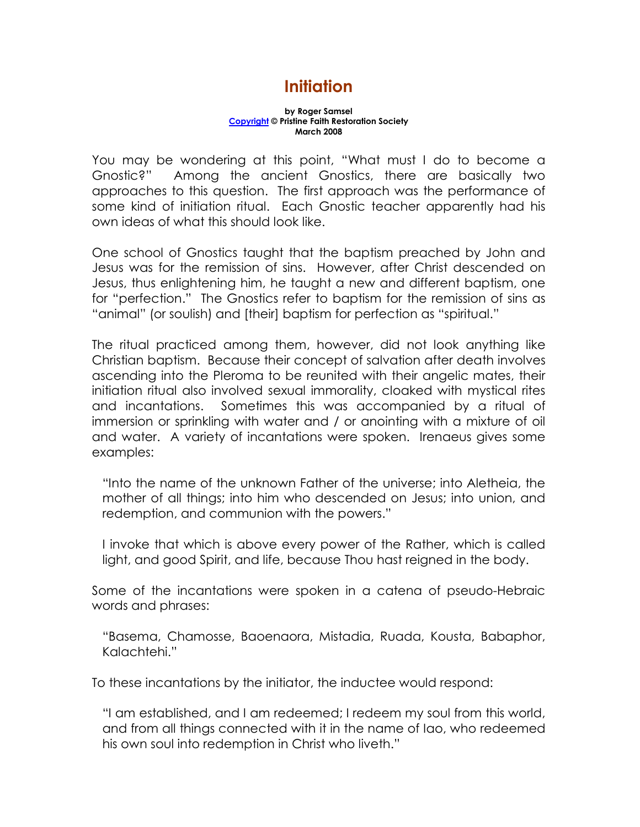## Initiation

## by Roger Samsel Copyright © Pristine Faith Restoration Society March 2008

You may be wondering at this point, "What must I do to become a Gnostic?" Among the ancient Gnostics, there are basically two approaches to this question. The first approach was the performance of some kind of initiation ritual. Each Gnostic teacher apparently had his own ideas of what this should look like.

One school of Gnostics taught that the baptism preached by John and Jesus was for the remission of sins. However, after Christ descended on Jesus, thus enlightening him, he taught a new and different baptism, one for "perfection." The Gnostics refer to baptism for the remission of sins as "animal" (or soulish) and [their] baptism for perfection as "spiritual."

The ritual practiced among them, however, did not look anything like Christian baptism. Because their concept of salvation after death involves ascending into the Pleroma to be reunited with their angelic mates, their initiation ritual also involved sexual immorality, cloaked with mystical rites and incantations. Sometimes this was accompanied by a ritual of immersion or sprinkling with water and / or anointing with a mixture of oil and water. A variety of incantations were spoken. Irenaeus gives some examples:

"Into the name of the unknown Father of the universe; into Aletheia, the mother of all things; into him who descended on Jesus; into union, and redemption, and communion with the powers."

I invoke that which is above every power of the Rather, which is called light, and good Spirit, and life, because Thou hast reigned in the body.

Some of the incantations were spoken in a catena of pseudo-Hebraic words and phrases:

"Basema, Chamosse, Baoenaora, Mistadia, Ruada, Kousta, Babaphor, Kalachtehi."

To these incantations by the initiator, the inductee would respond:

"I am established, and I am redeemed; I redeem my soul from this world, and from all things connected with it in the name of Iao, who redeemed his own soul into redemption in Christ who liveth."